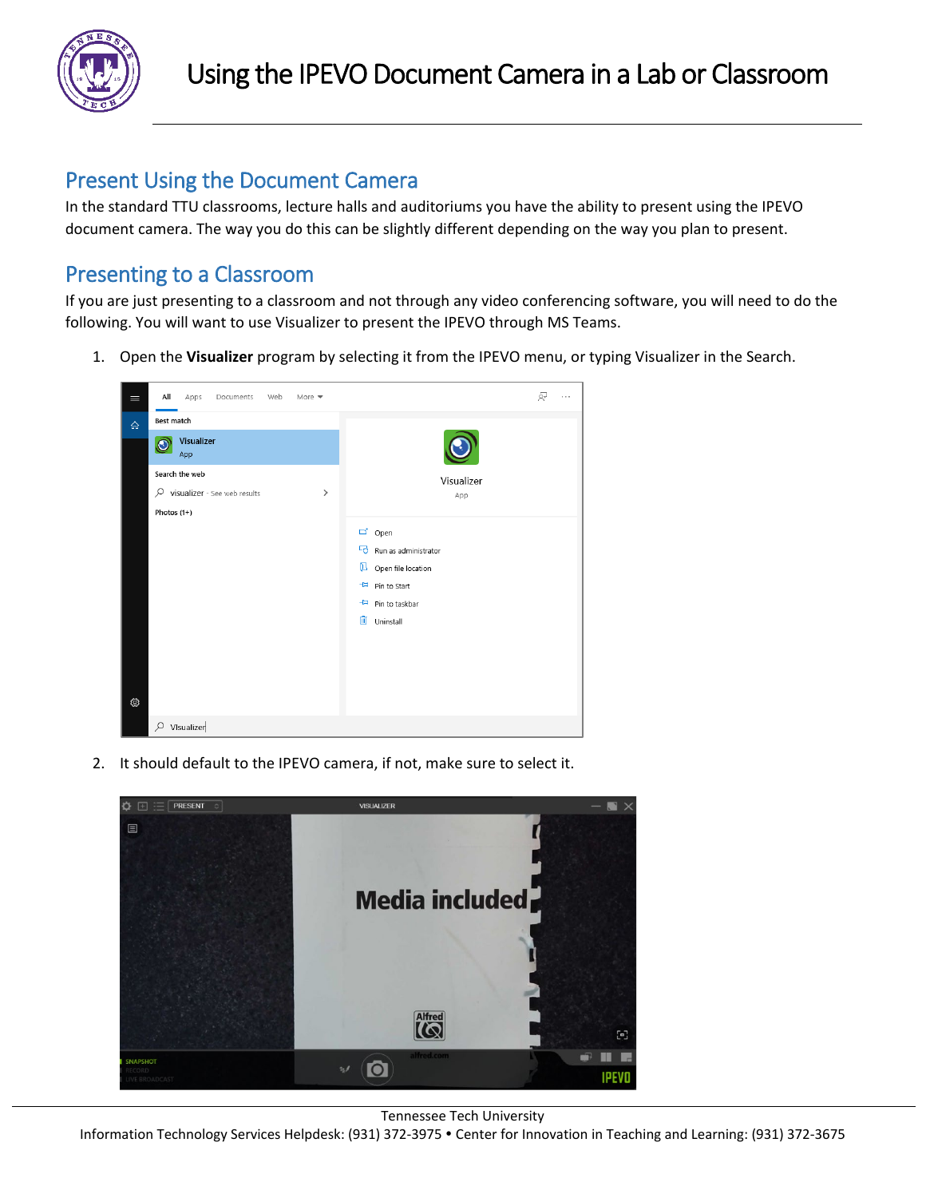

## Present Using the Document Camera

In the standard TTU classrooms, lecture halls and auditoriums you have the ability to present using the IPEVO document camera. The way you do this can be slightly different depending on the way you plan to present.

# Presenting to a Classroom

If you are just presenting to a classroom and not through any video conferencing software, you will need to do the following. You will want to use Visualizer to present the IPEVO through MS Teams.

1. Open the **Visualizer** program by selecting it from the IPEVO menu, or typing Visualizer in the Search.



2. It should default to the IPEVO camera, if not, make sure to select it.



Tennessee Tech University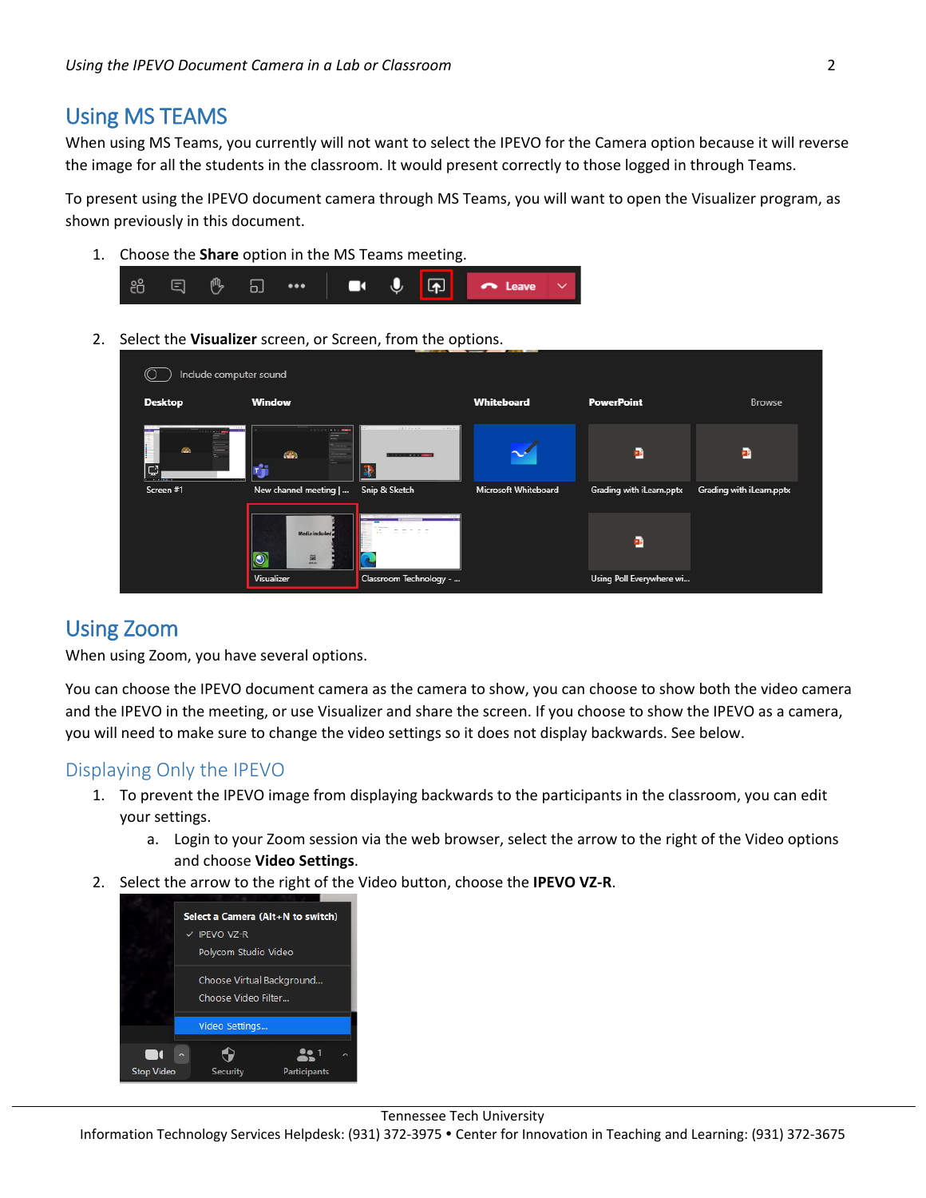### Using MS TEAMS

When using MS Teams, you currently will not want to select the IPEVO for the Camera option because it will reverse the image for all the students in the classroom. It would present correctly to those logged in through Teams.

To present using the IPEVO document camera through MS Teams, you will want to open the Visualizer program, as shown previously in this document.

1. Choose the **Share** option in the MS Teams meeting.



2. Select the **Visualizer** screen, or Screen, from the options.

|                | Include computer sound                                                                                                      |                                      |                      |                                |                          |
|----------------|-----------------------------------------------------------------------------------------------------------------------------|--------------------------------------|----------------------|--------------------------------|--------------------------|
| <b>Desktop</b> | <b>Window</b>                                                                                                               |                                      | Whiteboard           | <b>PowerPoint</b>              | <b>Browse</b>            |
| <b>GO</b><br>Ç | <b>Contract Contract Contract</b><br>---<br><b>Contractor</b><br>$\left( \frac{1}{2} \right)$<br><b>The Contract</b><br>وجر | 1.5.7.7.4.4.7<br>1.111               |                      | p.                             | E.                       |
| Screen #1      | New channel meeting  <br><b>Media</b> included<br>$\overline{\mathcal{O}}$<br>圖                                             | Snip & Sketch<br>The Contract of the | Microsoft Whiteboard | Grading with iLearn.pptx<br>p. | Grading with iLearn.pptx |
|                | Visualizer                                                                                                                  | Classroom Technology -               |                      | Using Poll Everywhere wi       |                          |

### Using Zoom

When using Zoom, you have several options.

You can choose the IPEVO document camera as the camera to show, you can choose to show both the video camera and the IPEVO in the meeting, or use Visualizer and share the screen. If you choose to show the IPEVO as a camera, you will need to make sure to change the video settings so it does not display backwards. See below.

#### Displaying Only the IPEVO

- 1. To prevent the IPEVO image from displaying backwards to the participants in the classroom, you can edit your settings.
	- a. Login to your Zoom session via the web browser, select the arrow to the right of the Video options and choose **Video Settings**.
- 2. Select the arrow to the right of the Video button, choose the **IPEVO VZ-R**.



Tennessee Tech University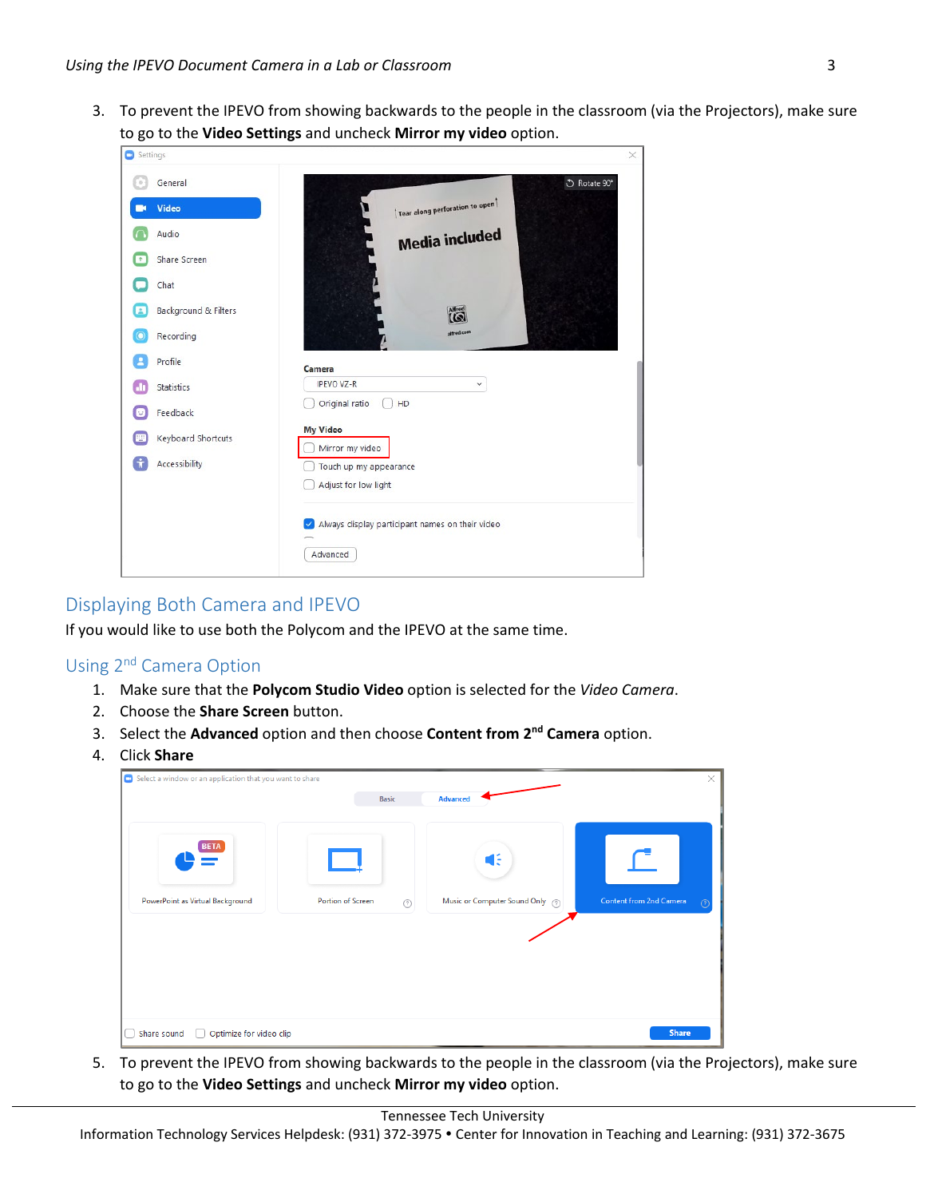3. To prevent the IPEVO from showing backwards to the people in the classroom (via the Projectors), make sure to go to the **Video Settings** and uncheck **Mirror my video** option.

| Settings |                      |                                                             | $\times$ |
|----------|----------------------|-------------------------------------------------------------|----------|
| ×        | General              | ○ Rotate 90°                                                |          |
|          | Video                | Tear along perforation to open                              |          |
|          | Audio                | <b>Media included</b>                                       |          |
| ÷        | Share Screen         |                                                             |          |
|          | Chat                 |                                                             |          |
| z        | Background & Filters | <b>Alfred</b>                                               |          |
| О        | Recording            | alfred.com                                                  |          |
| д        | Profile              | Camera                                                      |          |
| $\Box$   | Statistics           | <b>IPEVO VZ-R</b><br>$\checkmark$                           |          |
| u        | Feedback             | Original ratio<br>HD                                        |          |
| щ        | Keyboard Shortcuts   | <b>My Video</b><br>Mirror my video                          |          |
|          | Accessibility        | Touch up my appearance                                      |          |
|          |                      | Adjust for low light                                        |          |
|          |                      | Always display participant names on their video<br>Advanced |          |

#### Displaying Both Camera and IPEVO

If you would like to use both the Polycom and the IPEVO at the same time.

#### Using 2nd Camera Option

- 1. Make sure that the **Polycom Studio Video** option is selected for the *Video Camera*.
- 2. Choose the **Share Screen** button.
- 3. Select the **Advanced** option and then choose **Content from 2nd Camera** option.
- 4. Click **Share**

| G Select a window or an application that you want to share |                               |                                  | $\times$                     |
|------------------------------------------------------------|-------------------------------|----------------------------------|------------------------------|
|                                                            | <b>Basic</b>                  | Advanced                         |                              |
|                                                            |                               |                                  |                              |
| <b>BETA</b>                                                |                               | Œ                                |                              |
| PowerPoint as Virtual Background                           | Portion of Screen<br>$^\odot$ | Music or Computer Sound Only (?) | Content from 2nd Camera<br>7 |
|                                                            |                               |                                  |                              |
| Optimize for video clip<br>Share sound                     |                               |                                  | <b>Share</b>                 |

5. To prevent the IPEVO from showing backwards to the people in the classroom (via the Projectors), make sure to go to the **Video Settings** and uncheck **Mirror my video** option.